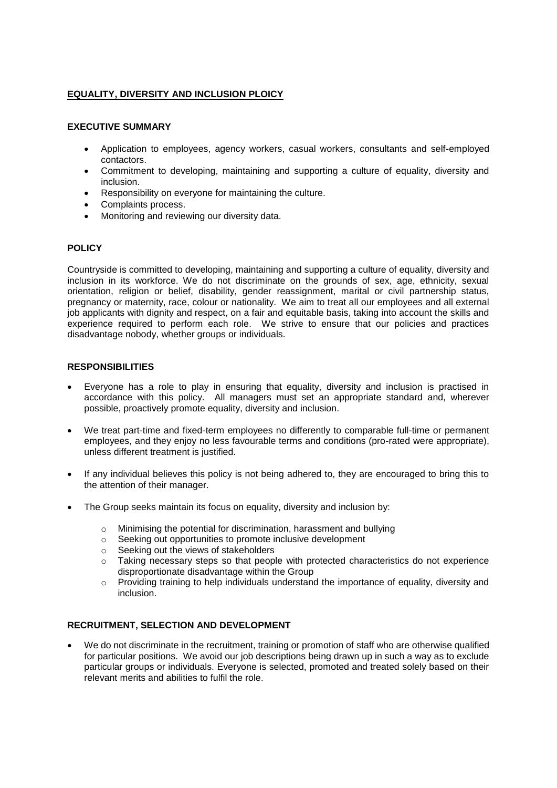# **EQUALITY, DIVERSITY AND INCLUSION PLOICY**

### **EXECUTIVE SUMMARY**

- Application to employees, agency workers, casual workers, consultants and self-employed contactors.
- Commitment to developing, maintaining and supporting a culture of equality, diversity and inclusion.
- Responsibility on everyone for maintaining the culture.
- Complaints process.
- Monitoring and reviewing our diversity data.

# **POLICY**

Countryside is committed to developing, maintaining and supporting a culture of equality, diversity and inclusion in its workforce. We do not discriminate on the grounds of sex, age, ethnicity, sexual orientation, religion or belief, disability, gender reassignment, marital or civil partnership status, pregnancy or maternity, race, colour or nationality. We aim to treat all our employees and all external job applicants with dignity and respect, on a fair and equitable basis, taking into account the skills and experience required to perform each role. We strive to ensure that our policies and practices disadvantage nobody, whether groups or individuals.

### **RESPONSIBILITIES**

- Everyone has a role to play in ensuring that equality, diversity and inclusion is practised in accordance with this policy. All managers must set an appropriate standard and, wherever possible, proactively promote equality, diversity and inclusion.
- We treat part-time and fixed-term employees no differently to comparable full-time or permanent employees, and they enjoy no less favourable terms and conditions (pro-rated were appropriate), unless different treatment is justified.
- If any individual believes this policy is not being adhered to, they are encouraged to bring this to the attention of their manager.
- The Group seeks maintain its focus on equality, diversity and inclusion by:
	- o Minimising the potential for discrimination, harassment and bullying
	- o Seeking out opportunities to promote inclusive development
	- o Seeking out the views of stakeholders
	- o Taking necessary steps so that people with protected characteristics do not experience disproportionate disadvantage within the Group
	- $\circ$  Providing training to help individuals understand the importance of equality, diversity and inclusion.

# **RECRUITMENT, SELECTION AND DEVELOPMENT**

• We do not discriminate in the recruitment, training or promotion of staff who are otherwise qualified for particular positions. We avoid our job descriptions being drawn up in such a way as to exclude particular groups or individuals. Everyone is selected, promoted and treated solely based on their relevant merits and abilities to fulfil the role.